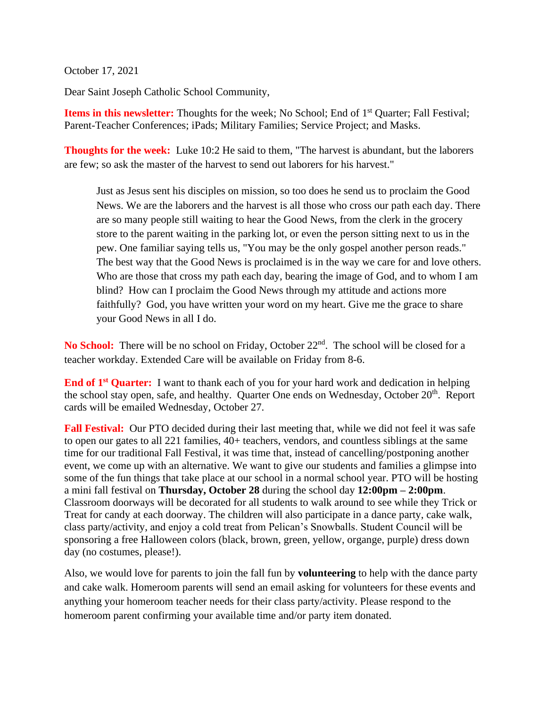October 17, 2021

Dear Saint Joseph Catholic School Community,

**Items in this newsletter:** Thoughts for the week; No School; End of 1<sup>st</sup> Quarter; Fall Festival; Parent-Teacher Conferences; iPads; Military Families; Service Project; and Masks.

**Thoughts for the week:** Luke 10:2 He said to them, "The harvest is abundant, but the laborers are few; so ask the master of the harvest to send out laborers for his harvest."

Just as Jesus sent his disciples on mission, so too does he send us to proclaim the Good News. We are the laborers and the harvest is all those who cross our path each day. There are so many people still waiting to hear the Good News, from the clerk in the grocery store to the parent waiting in the parking lot, or even the person sitting next to us in the pew. One familiar saying tells us, "You may be the only gospel another person reads." The best way that the Good News is proclaimed is in the way we care for and love others. Who are those that cross my path each day, bearing the image of God, and to whom I am blind? How can I proclaim the Good News through my attitude and actions more faithfully? God, you have written your word on my heart. Give me the grace to share your Good News in all I do.

No School: There will be no school on Friday, October 22<sup>nd</sup>. The school will be closed for a teacher workday. Extended Care will be available on Friday from 8-6.

**End of 1<sup>st</sup> Quarter:** I want to thank each of you for your hard work and dedication in helping the school stay open, safe, and healthy. Quarter One ends on Wednesday, October 20<sup>th</sup>. Report cards will be emailed Wednesday, October 27.

**Fall Festival:** Our PTO decided during their last meeting that, while we did not feel it was safe to open our gates to all 221 families, 40+ teachers, vendors, and countless siblings at the same time for our traditional Fall Festival, it was time that, instead of cancelling/postponing another event, we come up with an alternative. We want to give our students and families a glimpse into some of the fun things that take place at our school in a normal school year. PTO will be hosting a mini fall festival on **Thursday, October 28** during the school day **12:00pm – 2:00pm**. Classroom doorways will be decorated for all students to walk around to see while they Trick or Treat for candy at each doorway. The children will also participate in a dance party, cake walk, class party/activity, and enjoy a cold treat from Pelican's Snowballs. Student Council will be sponsoring a free Halloween colors (black, brown, green, yellow, organge, purple) dress down day (no costumes, please!).

Also, we would love for parents to join the fall fun by **volunteering** to help with the dance party and cake walk. Homeroom parents will send an email asking for volunteers for these events and anything your homeroom teacher needs for their class party/activity. Please respond to the homeroom parent confirming your available time and/or party item donated.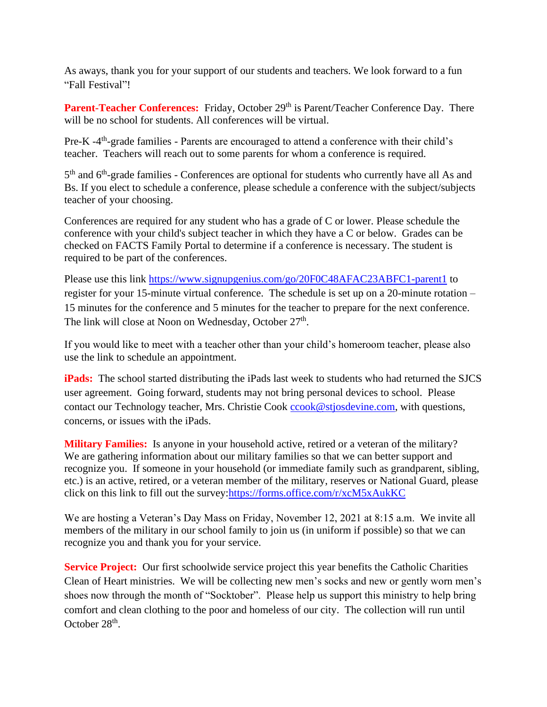As aways, thank you for your support of our students and teachers. We look forward to a fun "Fall Festival"!

**Parent-Teacher Conferences:** Friday, October 29<sup>th</sup> is Parent/Teacher Conference Day. There will be no school for students. All conferences will be virtual.

Pre-K -4<sup>th</sup>-grade families - Parents are encouraged to attend a conference with their child's teacher. Teachers will reach out to some parents for whom a conference is required.

5<sup>th</sup> and 6<sup>th</sup>-grade families - Conferences are optional for students who currently have all As and Bs. If you elect to schedule a conference, please schedule a conference with the subject/subjects teacher of your choosing.

Conferences are required for any student who has a grade of C or lower. Please schedule the conference with your child's subject teacher in which they have a C or below. Grades can be checked on FACTS Family Portal to determine if a conference is necessary. The student is required to be part of the conferences.

Please use this link<https://www.signupgenius.com/go/20F0C48AFAC23ABFC1-parent1> to register for your 15-minute virtual conference. The schedule is set up on a 20-minute rotation – 15 minutes for the conference and 5 minutes for the teacher to prepare for the next conference. The link will close at Noon on Wednesday, October  $27<sup>th</sup>$ .

If you would like to meet with a teacher other than your child's homeroom teacher, please also use the link to schedule an appointment.

**iPads:** The school started distributing the iPads last week to students who had returned the SJCS user agreement. Going forward, students may not bring personal devices to school. Please contact our Technology teacher, Mrs. Christie Cook [ccook@stjosdevine.com,](mailto:ccook@stjosdevine.com) with questions, concerns, or issues with the iPads.

**Military Families:** Is anyone in your household active, retired or a veteran of the military? We are gathering information about our military families so that we can better support and recognize you. If someone in your household (or immediate family such as grandparent, sibling, etc.) is an active, retired, or a veteran member of the military, reserves or National Guard, please click on this link to fill out the survey[:https://forms.office.com/r/xcM5xAukKC](https://forms.office.com/r/xcM5xAukKC)

We are hosting a Veteran's Day Mass on Friday, November 12, 2021 at 8:15 a.m. We invite all members of the military in our school family to join us (in uniform if possible) so that we can recognize you and thank you for your service.

**Service Project:** Our first schoolwide service project this year benefits the Catholic Charities Clean of Heart ministries. We will be collecting new men's socks and new or gently worn men's shoes now through the month of "Socktober". Please help us support this ministry to help bring comfort and clean clothing to the poor and homeless of our city. The collection will run until October 28<sup>th</sup>.